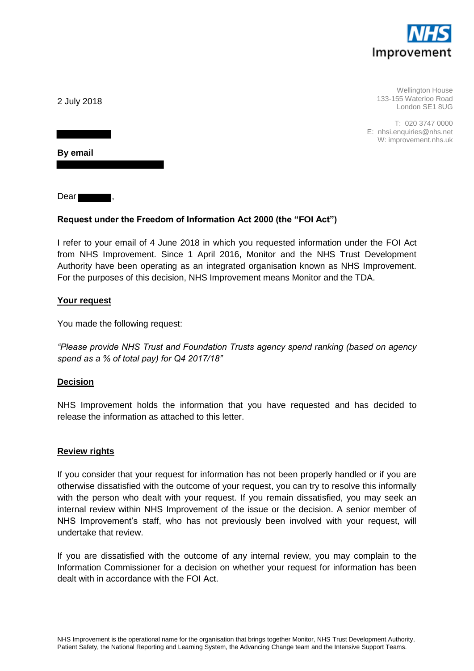

Wellington House 133-155 Waterloo Road London SE1 8UG

T: 020 3747 0000 E: nhsi.enquiries@nhs.net W: improvement.nhs.uk

2 July 2018

**By email** 

Dear ,

# **Request under the Freedom of Information Act 2000 (the "FOI Act")**

I refer to your email of 4 June 2018 in which you requested information under the FOI Act from NHS Improvement. Since 1 April 2016, Monitor and the NHS Trust Development Authority have been operating as an integrated organisation known as NHS Improvement. For the purposes of this decision, NHS Improvement means Monitor and the TDA.

## **Your request**

You made the following request:

*"Please provide NHS Trust and Foundation Trusts agency spend ranking (based on agency spend as a % of total pay) for Q4 2017/18"*

## **Decision**

NHS Improvement holds the information that you have requested and has decided to release the information as attached to this letter.

#### **Review rights**

If you consider that your request for information has not been properly handled or if you are otherwise dissatisfied with the outcome of your request, you can try to resolve this informally with the person who dealt with your request. If you remain dissatisfied, you may seek an internal review within NHS Improvement of the issue or the decision. A senior member of NHS Improvement's staff, who has not previously been involved with your request, will undertake that review.

If you are dissatisfied with the outcome of any internal review, you may complain to the Information Commissioner for a decision on whether your request for information has been dealt with in accordance with the FOI Act.